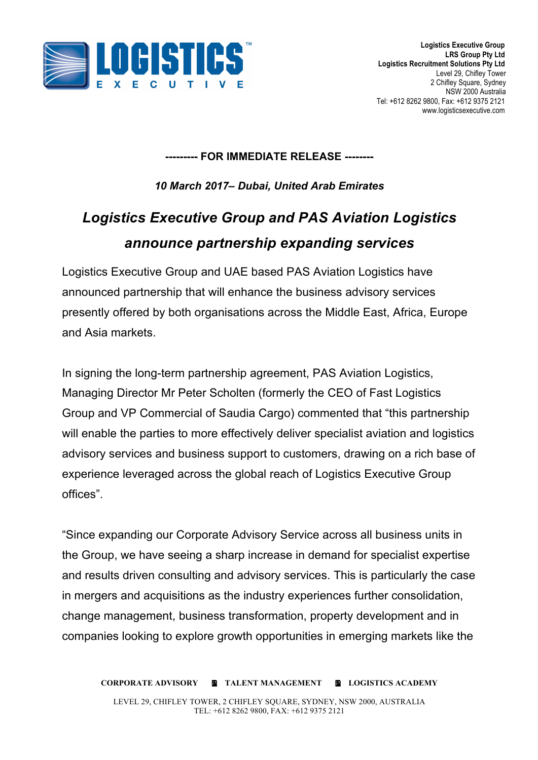

#### **--------- FOR IMMEDIATE RELEASE --------**

*10 March 2017– Dubai, United Arab Emirates*

# *Logistics Executive Group and PAS Aviation Logistics announce partnership expanding services*

Logistics Executive Group and UAE based PAS Aviation Logistics have announced partnership that will enhance the business advisory services presently offered by both organisations across the Middle East, Africa, Europe and Asia markets.

In signing the long-term partnership agreement, PAS Aviation Logistics, Managing Director Mr Peter Scholten (formerly the CEO of Fast Logistics Group and VP Commercial of Saudia Cargo) commented that "this partnership will enable the parties to more effectively deliver specialist aviation and logistics advisory services and business support to customers, drawing on a rich base of experience leveraged across the global reach of Logistics Executive Group offices".

"Since expanding our Corporate Advisory Service across all business units in the Group, we have seeing a sharp increase in demand for specialist expertise and results driven consulting and advisory services. This is particularly the case in mergers and acquisitions as the industry experiences further consolidation, change management, business transformation, property development and in companies looking to explore growth opportunities in emerging markets like the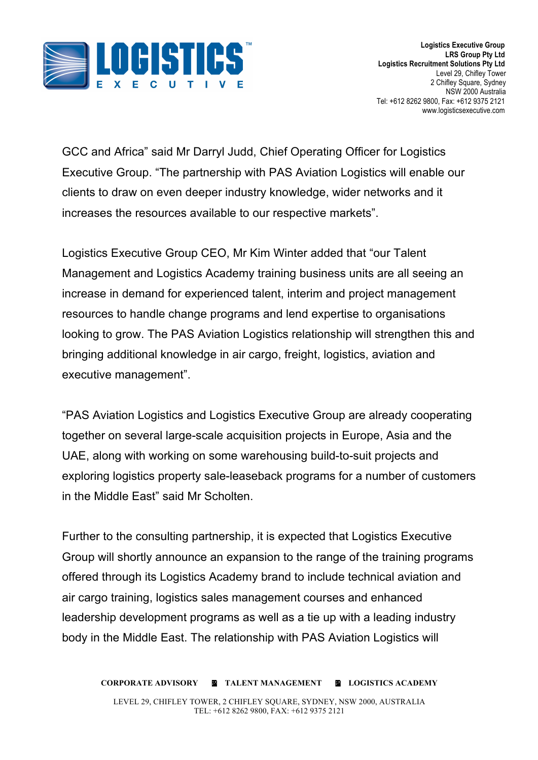

GCC and Africa" said Mr Darryl Judd, Chief Operating Officer for Logistics Executive Group. "The partnership with PAS Aviation Logistics will enable our clients to draw on even deeper industry knowledge, wider networks and it increases the resources available to our respective markets".

Logistics Executive Group CEO, Mr Kim Winter added that "our Talent Management and Logistics Academy training business units are all seeing an increase in demand for experienced talent, interim and project management resources to handle change programs and lend expertise to organisations looking to grow. The PAS Aviation Logistics relationship will strengthen this and bringing additional knowledge in air cargo, freight, logistics, aviation and executive management".

"PAS Aviation Logistics and Logistics Executive Group are already cooperating together on several large-scale acquisition projects in Europe, Asia and the UAE, along with working on some warehousing build-to-suit projects and exploring logistics property sale-leaseback programs for a number of customers in the Middle East" said Mr Scholten.

Further to the consulting partnership, it is expected that Logistics Executive Group will shortly announce an expansion to the range of the training programs offered through its Logistics Academy brand to include technical aviation and air cargo training, logistics sales management courses and enhanced leadership development programs as well as a tie up with a leading industry body in the Middle East. The relationship with PAS Aviation Logistics will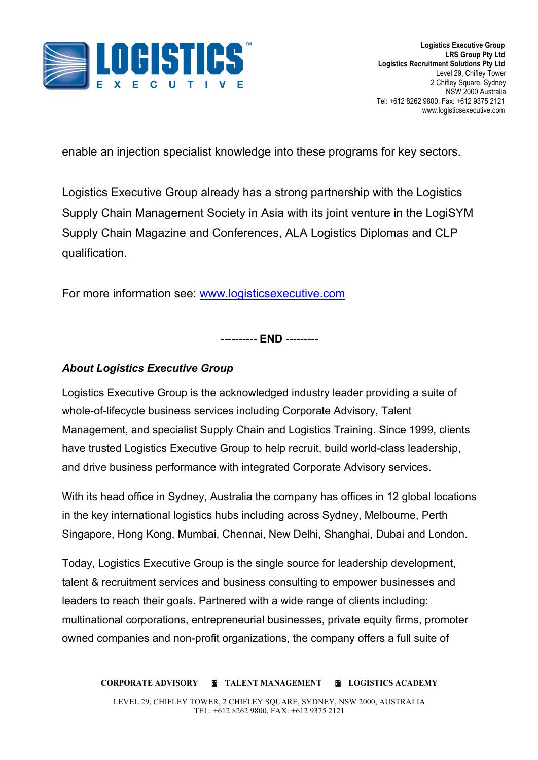

enable an injection specialist knowledge into these programs for key sectors.

Logistics Executive Group already has a strong partnership with the Logistics Supply Chain Management Society in Asia with its joint venture in the LogiSYM Supply Chain Magazine and Conferences, ALA Logistics Diplomas and CLP qualification.

For more information see: www.logisticsexecutive.com

**---------- END ---------**

## *About Logistics Executive Group*

Logistics Executive Group is the acknowledged industry leader providing a suite of whole-of-lifecycle business services including Corporate Advisory, Talent Management, and specialist Supply Chain and Logistics Training. Since 1999, clients have trusted Logistics Executive Group to help recruit, build world-class leadership, and drive business performance with integrated Corporate Advisory services.

With its head office in Sydney, Australia the company has offices in 12 global locations in the key international logistics hubs including across Sydney, Melbourne, Perth Singapore, Hong Kong, Mumbai, Chennai, New Delhi, Shanghai, Dubai and London.

Today, Logistics Executive Group is the single source for leadership development, talent & recruitment services and business consulting to empower businesses and leaders to reach their goals. Partnered with a wide range of clients including: multinational corporations, entrepreneurial businesses, private equity firms, promoter owned companies and non-profit organizations, the company offers a full suite of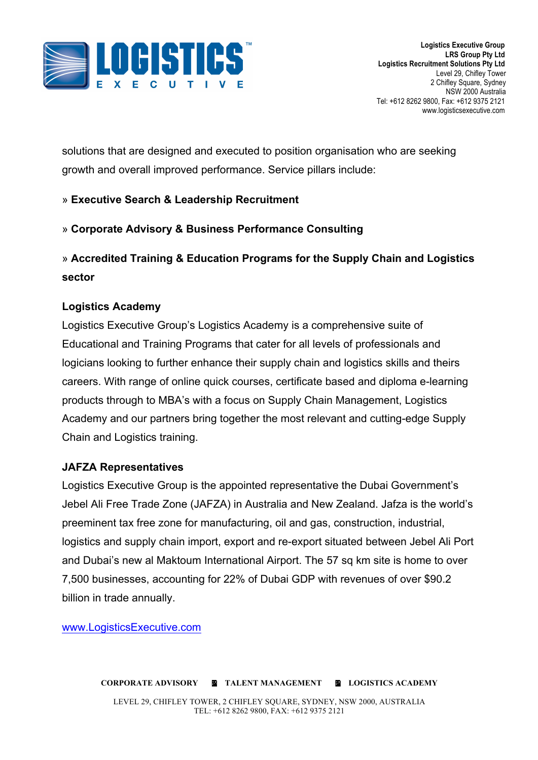

solutions that are designed and executed to position organisation who are seeking growth and overall improved performance. Service pillars include:

#### » **Executive Search & Leadership Recruitment**

#### » **Corporate Advisory & Business Performance Consulting**

# » **Accredited Training & Education Programs for the Supply Chain and Logistics sector**

#### **Logistics Academy**

Logistics Executive Group's Logistics Academy is a comprehensive suite of Educational and Training Programs that cater for all levels of professionals and logicians looking to further enhance their supply chain and logistics skills and theirs careers. With range of online quick courses, certificate based and diploma e-learning products through to MBA's with a focus on Supply Chain Management, Logistics Academy and our partners bring together the most relevant and cutting-edge Supply Chain and Logistics training.

#### **JAFZA Representatives**

Logistics Executive Group is the appointed representative the Dubai Government's Jebel Ali Free Trade Zone (JAFZA) in Australia and New Zealand. Jafza is the world's preeminent tax free zone for manufacturing, oil and gas, construction, industrial, logistics and supply chain import, export and re-export situated between Jebel Ali Port and Dubai's new al Maktoum International Airport. The 57 sq km site is home to over 7,500 businesses, accounting for 22% of Dubai GDP with revenues of over \$90.2 billion in trade annually.

www.LogisticsExecutive.com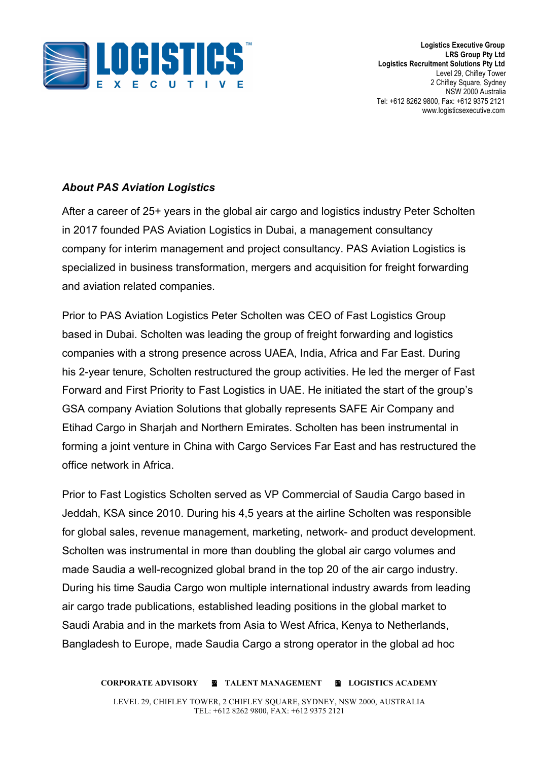

**Logistics Executive Group LRS Group Pty Ltd Logistics Recruitment Solutions Pty Ltd** Level 29, Chifley Tower 2 Chifley Square, Sydney NSW 2000 Australia Tel: +612 8262 9800, Fax: +612 9375 2121 www.logisticsexecutive.com

## *About PAS Aviation Logistics*

After a career of 25+ years in the global air cargo and logistics industry Peter Scholten in 2017 founded PAS Aviation Logistics in Dubai, a management consultancy company for interim management and project consultancy. PAS Aviation Logistics is specialized in business transformation, mergers and acquisition for freight forwarding and aviation related companies.

Prior to PAS Aviation Logistics Peter Scholten was CEO of Fast Logistics Group based in Dubai. Scholten was leading the group of freight forwarding and logistics companies with a strong presence across UAEA, India, Africa and Far East. During his 2-year tenure, Scholten restructured the group activities. He led the merger of Fast Forward and First Priority to Fast Logistics in UAE. He initiated the start of the group's GSA company Aviation Solutions that globally represents SAFE Air Company and Etihad Cargo in Sharjah and Northern Emirates. Scholten has been instrumental in forming a joint venture in China with Cargo Services Far East and has restructured the office network in Africa.

Prior to Fast Logistics Scholten served as VP Commercial of Saudia Cargo based in Jeddah, KSA since 2010. During his 4,5 years at the airline Scholten was responsible for global sales, revenue management, marketing, network- and product development. Scholten was instrumental in more than doubling the global air cargo volumes and made Saudia a well-recognized global brand in the top 20 of the air cargo industry. During his time Saudia Cargo won multiple international industry awards from leading air cargo trade publications, established leading positions in the global market to Saudi Arabia and in the markets from Asia to West Africa, Kenya to Netherlands, Bangladesh to Europe, made Saudia Cargo a strong operator in the global ad hoc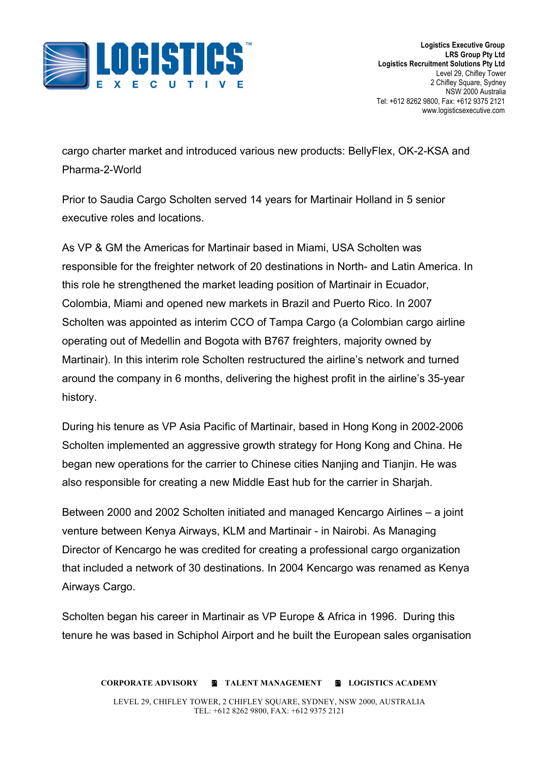

cargo charter market and introduced various new products: BellyFlex, OK-2-KSA and Pharma-2-World

Prior to Saudia Cargo Scholten served 14 years for Martinair Holland in 5 senior executive roles and locations.

As VP & GM the Americas for Martinair based in Miami, USA Scholten was responsible for the freighter network of 20 destinations in North- and Latin America. In this role he strengthened the market leading position of Martinair in Ecuador, Colombia, Miami and opened new markets in Brazil and Puerto Rico. In 2007 Scholten was appointed as interim CCO of Tampa Cargo (a Colombian cargo airline operating out of Medellin and Bogota with B767 freighters, majority owned by Martinair). In this interim role Scholten restructured the airline's network and turned around the company in 6 months, delivering the highest profit in the airline's 35-year history.

During his tenure as VP Asia Pacific of Martinair, based in Hong Kong in 2002-2006 Scholten implemented an aggressive growth strategy for Hong Kong and China. He began new operations for the carrier to Chinese cities Nanjing and Tianjin. He was also responsible for creating a new Middle East hub for the carrier in Sharjah.

Between 2000 and 2002 Scholten initiated and managed Kencargo Airlines – a joint venture between Kenya Airways, KLM and Martinair - in Nairobi. As Managing Director of Kencargo he was credited for creating a professional cargo organization that included a network of 30 destinations. In 2004 Kencargo was renamed as Kenya Airways Cargo.

Scholten began his career in Martinair as VP Europe & Africa in 1996. During this tenure he was based in Schiphol Airport and he built the European sales organisation